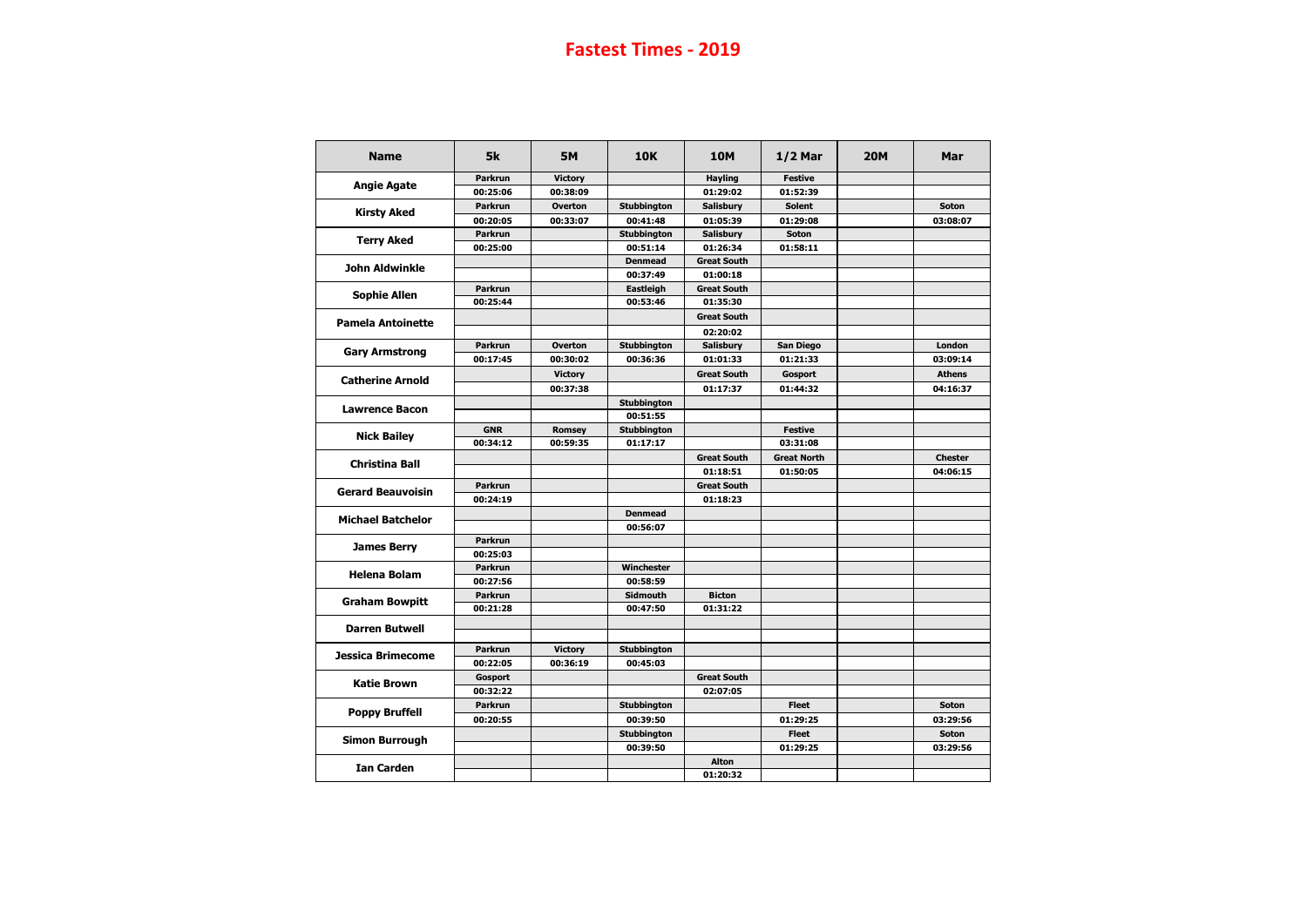| <b>Name</b>              | 5k             | <b>5M</b>      | <b>10K</b>         | <b>10M</b>         | $1/2$ Mar          | <b>20M</b> | <b>Mar</b>     |
|--------------------------|----------------|----------------|--------------------|--------------------|--------------------|------------|----------------|
| <b>Angie Agate</b>       | <b>Parkrun</b> | <b>Victory</b> |                    | <b>Hayling</b>     | <b>Festive</b>     |            |                |
|                          | 00:25:06       | 00:38:09       |                    | 01:29:02           | 01:52:39           |            |                |
| <b>Kirsty Aked</b>       | <b>Parkrun</b> | <b>Overton</b> | <b>Stubbington</b> | <b>Salisbury</b>   | <b>Solent</b>      |            | <b>Soton</b>   |
|                          | 00:20:05       | 00:33:07       | 00:41:48           | 01:05:39           | 01:29:08           |            | 03:08:07       |
| <b>Terry Aked</b>        | <b>Parkrun</b> |                | <b>Stubbington</b> | <b>Salisbury</b>   | <b>Soton</b>       |            |                |
|                          | 00:25:00       |                | 00:51:14           | 01:26:34           | 01:58:11           |            |                |
| <b>John Aldwinkle</b>    |                |                | <b>Denmead</b>     | <b>Great South</b> |                    |            |                |
|                          |                |                | 00:37:49           | 01:00:18           |                    |            |                |
| <b>Sophie Allen</b>      | <b>Parkrun</b> |                | Eastleigh          | <b>Great South</b> |                    |            |                |
|                          | 00:25:44       |                | 00:53:46           | 01:35:30           |                    |            |                |
| <b>Pamela Antoinette</b> |                |                |                    | <b>Great South</b> |                    |            |                |
|                          |                |                |                    | 02:20:02           |                    |            |                |
| <b>Gary Armstrong</b>    | <b>Parkrun</b> | <b>Overton</b> | <b>Stubbington</b> | <b>Salisbury</b>   | <b>San Diego</b>   |            | <b>London</b>  |
|                          | 00:17:45       | 00:30:02       | 00:36:36           | 01:01:33           | 01:21:33           |            | 03:09:14       |
| <b>Catherine Arnold</b>  |                | <b>Victory</b> |                    | <b>Great South</b> | Gosport            |            | <b>Athens</b>  |
|                          |                | 00:37:38       |                    | 01:17:37           | 01:44:32           |            | 04:16:37       |
| <b>Lawrence Bacon</b>    |                |                | <b>Stubbington</b> |                    |                    |            |                |
|                          |                |                | 00:51:55           |                    |                    |            |                |
| <b>Nick Bailey</b>       | <b>GNR</b>     | <b>Romsey</b>  | <b>Stubbington</b> |                    | <b>Festive</b>     |            |                |
|                          | 00:34:12       | 00:59:35       | 01:17:17           |                    | 03:31:08           |            |                |
| <b>Christina Ball</b>    |                |                |                    | <b>Great South</b> | <b>Great North</b> |            | <b>Chester</b> |
|                          |                |                |                    | 01:18:51           | 01:50:05           |            | 04:06:15       |
| <b>Gerard Beauvoisin</b> | <b>Parkrun</b> |                |                    | <b>Great South</b> |                    |            |                |
|                          | 00:24:19       |                |                    | 01:18:23           |                    |            |                |
| <b>Michael Batchelor</b> |                |                | <b>Denmead</b>     |                    |                    |            |                |
|                          |                |                | 00:56:07           |                    |                    |            |                |
| <b>James Berry</b>       | <b>Parkrun</b> |                |                    |                    |                    |            |                |
|                          | 00:25:03       |                |                    |                    |                    |            |                |
| <b>Helena Bolam</b>      | <b>Parkrun</b> |                | Winchester         |                    |                    |            |                |
|                          | 00:27:56       |                | 00:58:59           |                    |                    |            |                |
| <b>Graham Bowpitt</b>    | <b>Parkrun</b> |                | <b>Sidmouth</b>    | <b>Bicton</b>      |                    |            |                |
|                          | 00:21:28       |                | 00:47:50           | 01:31:22           |                    |            |                |
| <b>Darren Butwell</b>    |                |                |                    |                    |                    |            |                |
|                          | <b>Parkrun</b> | <b>Victory</b> | <b>Stubbington</b> |                    |                    |            |                |
| <b>Jessica Brimecome</b> | 00:22:05       | 00:36:19       | 00:45:03           |                    |                    |            |                |
|                          | Gosport        |                |                    | <b>Great South</b> |                    |            |                |
| <b>Katie Brown</b>       | 00:32:22       |                |                    | 02:07:05           |                    |            |                |
|                          | <b>Parkrun</b> |                | <b>Stubbington</b> |                    | <b>Fleet</b>       |            | <b>Soton</b>   |
| <b>Poppy Bruffell</b>    | 00:20:55       |                | 00:39:50           |                    | 01:29:25           |            | 03:29:56       |
|                          |                |                | <b>Stubbington</b> |                    | <b>Fleet</b>       |            | <b>Soton</b>   |
| <b>Simon Burrough</b>    |                |                | 00:39:50           |                    | 01:29:25           |            | 03:29:56       |
|                          |                |                |                    | <b>Alton</b>       |                    |            |                |
| <b>Ian Carden</b>        |                |                |                    | 01:20:32           |                    |            |                |
|                          |                |                |                    |                    |                    |            |                |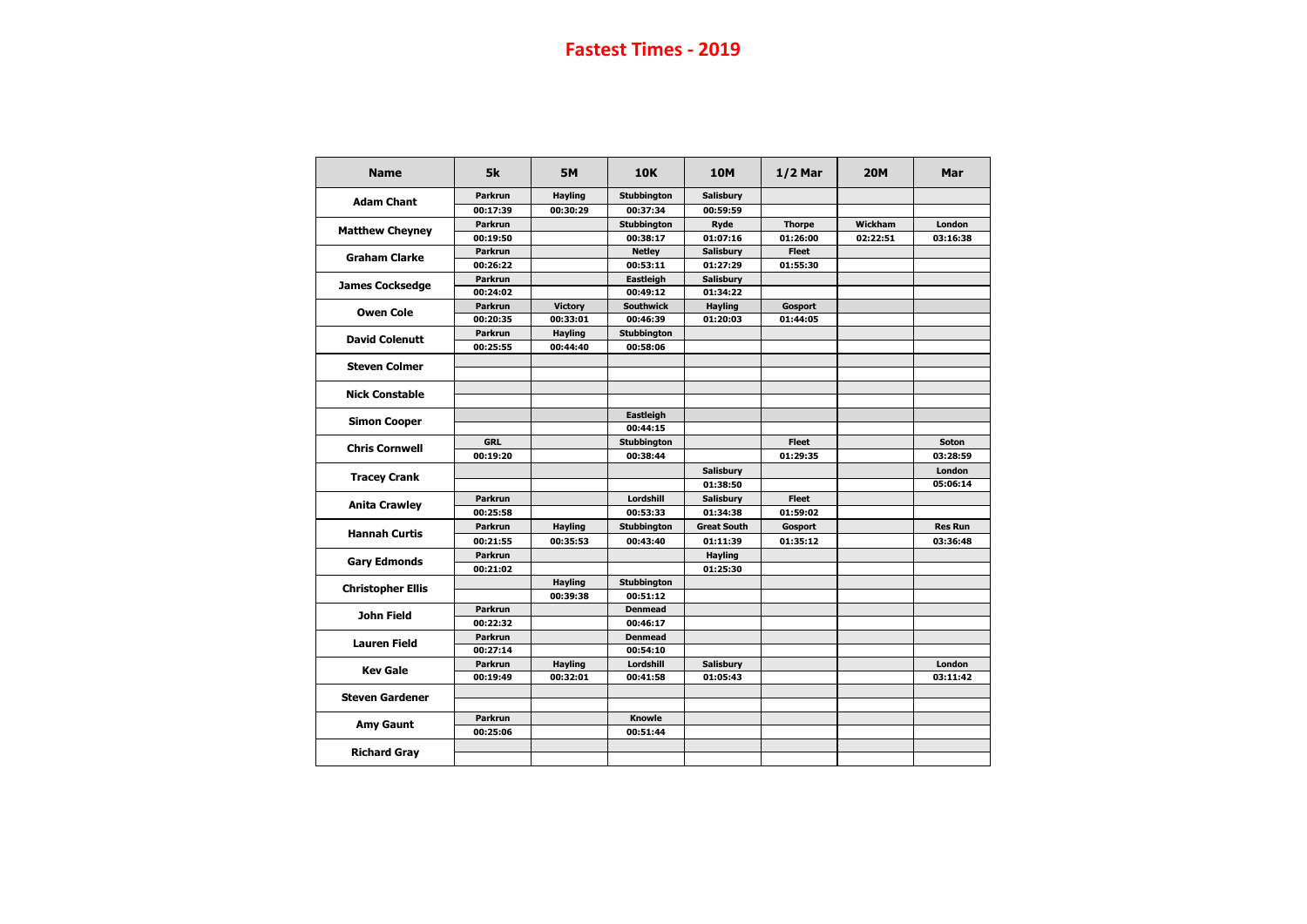| <b>Name</b>              | 5k             | <b>5M</b>      | <b>10K</b>         | <b>10M</b>                   | $1/2$ Mar                                    | <b>20M</b>                                         | Mar                       |
|--------------------------|----------------|----------------|--------------------|------------------------------|----------------------------------------------|----------------------------------------------------|---------------------------|
|                          | <b>Parkrun</b> | <b>Hayling</b> | <b>Stubbington</b> | <b>Salisbury</b>             |                                              |                                                    |                           |
| <b>Adam Chant</b>        | 00:17:39       | 00:30:29       | 00:37:34           | 00:59:59                     |                                              | Wickham<br>02:22:51                                |                           |
|                          | <b>Parkrun</b> |                | <b>Stubbington</b> | <b>Ryde</b>                  | <b>Thorpe</b>                                |                                                    | London                    |
| <b>Matthew Cheyney</b>   | 00:19:50       |                | 00:38:17           | 01:07:16                     | 01:26:00                                     |                                                    | 03:16:38                  |
| <b>Graham Clarke</b>     | <b>Parkrun</b> |                | <b>Netley</b>      | <b>Salisbury</b>             | <b>Fleet</b>                                 |                                                    |                           |
|                          | 00:26:22       |                | 00:53:11           | 01:27:29                     | 01:55:30                                     |                                                    |                           |
|                          | <b>Parkrun</b> |                | Eastleigh          | <b>Salisbury</b>             |                                              |                                                    |                           |
| <b>James Cocksedge</b>   | 00:24:02       |                | 00:49:12           | 01:34:22                     |                                              | Gosport<br><b>Fleet</b><br><b>Fleet</b><br>Gosport |                           |
| <b>Owen Cole</b>         | <b>Parkrun</b> | <b>Victory</b> | <b>Southwick</b>   | <b>Hayling</b>               |                                              |                                                    |                           |
|                          | 00:20:35       | 00:33:01       | 00:46:39           | 01:20:03                     | 01:44:05<br>01:29:35<br>01:59:02<br>01:35:12 |                                                    |                           |
| <b>David Colenutt</b>    | <b>Parkrun</b> | <b>Hayling</b> | <b>Stubbington</b> |                              |                                              |                                                    |                           |
|                          | 00:25:55       | 00:44:40       | 00:58:06           |                              |                                              |                                                    |                           |
| <b>Steven Colmer</b>     |                |                |                    |                              |                                              |                                                    |                           |
| <b>Nick Constable</b>    |                |                |                    |                              |                                              |                                                    |                           |
|                          |                |                |                    |                              |                                              |                                                    |                           |
| <b>Simon Cooper</b>      |                |                | Eastleigh          |                              |                                              |                                                    |                           |
|                          | <b>GRL</b>     |                | 00:44:15           |                              |                                              |                                                    | <b>Soton</b>              |
| <b>Chris Cornwell</b>    |                |                | <b>Stubbington</b> |                              |                                              |                                                    |                           |
|                          | 00:19:20       |                | 00:38:44           |                              |                                              |                                                    | 03:28:59                  |
| <b>Tracey Crank</b>      |                |                |                    | <b>Salisbury</b><br>01:38:50 |                                              |                                                    | <b>London</b><br>05:06:14 |
|                          | <b>Parkrun</b> |                | Lordshill          | <b>Salisbury</b>             |                                              |                                                    |                           |
| <b>Anita Crawley</b>     | 00:25:58       |                | 00:53:33           | 01:34:38                     |                                              |                                                    |                           |
|                          | <b>Parkrun</b> | <b>Hayling</b> | <b>Stubbington</b> | <b>Great South</b>           |                                              |                                                    | <b>Res Run</b>            |
| <b>Hannah Curtis</b>     | 00:21:55       | 00:35:53       | 00:43:40           | 01:11:39                     |                                              |                                                    | 03:36:48                  |
|                          | <b>Parkrun</b> |                |                    |                              |                                              |                                                    |                           |
| <b>Gary Edmonds</b>      | 00:21:02       |                |                    | <b>Hayling</b><br>01:25:30   |                                              |                                                    |                           |
|                          |                | <b>Hayling</b> | <b>Stubbington</b> |                              |                                              |                                                    |                           |
| <b>Christopher Ellis</b> |                | 00:39:38       | 00:51:12           |                              |                                              |                                                    |                           |
|                          | <b>Parkrun</b> |                | <b>Denmead</b>     |                              |                                              |                                                    |                           |
| <b>John Field</b>        | 00:22:32       |                | 00:46:17           |                              |                                              |                                                    |                           |
|                          | <b>Parkrun</b> |                | <b>Denmead</b>     |                              |                                              |                                                    |                           |
| <b>Lauren Field</b>      | 00:27:14       |                | 00:54:10           |                              |                                              |                                                    |                           |
|                          | <b>Parkrun</b> | <b>Hayling</b> | Lordshill          | <b>Salisbury</b>             |                                              |                                                    | <b>London</b>             |
| <b>Kev Gale</b>          | 00:19:49       | 00:32:01       | 00:41:58           | 01:05:43                     |                                              |                                                    | 03:11:42                  |
| <b>Steven Gardener</b>   |                |                |                    |                              |                                              |                                                    |                           |
|                          | <b>Parkrun</b> |                | <b>Knowle</b>      |                              |                                              |                                                    |                           |
| <b>Amy Gaunt</b>         | 00:25:06       |                | 00:51:44           |                              |                                              |                                                    |                           |
| <b>Richard Gray</b>      |                |                |                    |                              |                                              |                                                    |                           |
|                          |                |                |                    |                              |                                              |                                                    |                           |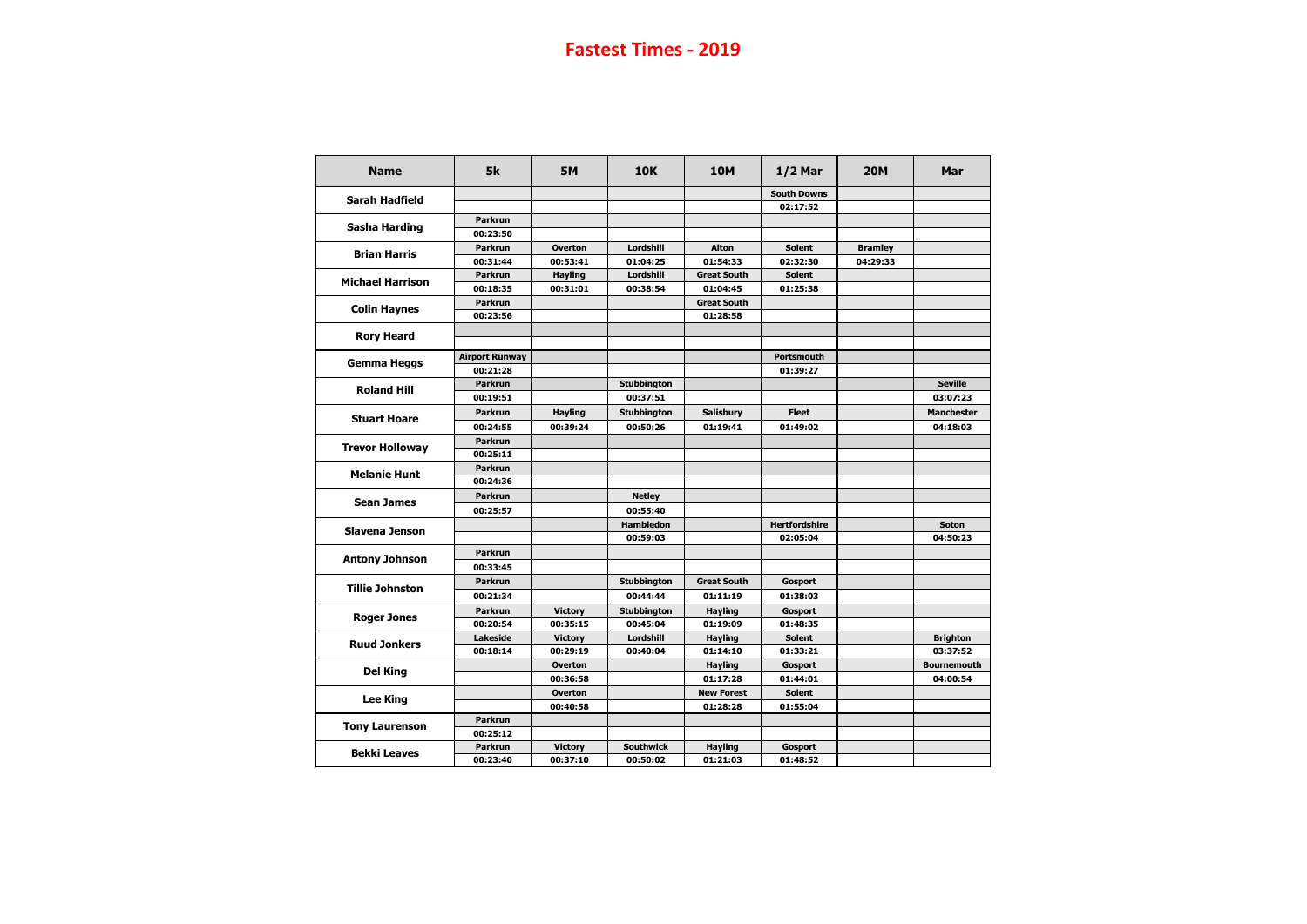| <b>Name</b>             | 5k                    | <b>5M</b>      | <b>10K</b>         | <b>10M</b>         | $1/2$ Mar            | <b>20M</b>     | Mar                |
|-------------------------|-----------------------|----------------|--------------------|--------------------|----------------------|----------------|--------------------|
| <b>Sarah Hadfield</b>   |                       |                |                    |                    | <b>South Downs</b>   |                |                    |
|                         |                       |                |                    |                    | 02:17:52             |                |                    |
| <b>Sasha Harding</b>    | <b>Parkrun</b>        |                |                    |                    |                      |                |                    |
|                         | 00:23:50              |                |                    |                    |                      |                |                    |
| <b>Brian Harris</b>     | <b>Parkrun</b>        | <b>Overton</b> | Lordshill          | <b>Alton</b>       | <b>Solent</b>        | <b>Bramley</b> |                    |
|                         | 00:31:44              | 00:53:41       | 01:04:25           | 01:54:33           | 02:32:30             | 04:29:33       |                    |
| <b>Michael Harrison</b> | <b>Parkrun</b>        | <b>Hayling</b> | Lordshill          | <b>Great South</b> | <b>Solent</b>        |                |                    |
|                         | 00:18:35              | 00:31:01       | 00:38:54           | 01:04:45           | 01:25:38             |                |                    |
| <b>Colin Haynes</b>     | <b>Parkrun</b>        |                |                    | <b>Great South</b> |                      |                |                    |
|                         | 00:23:56              |                |                    | 01:28:58           |                      |                |                    |
| <b>Rory Heard</b>       |                       |                |                    |                    |                      |                |                    |
|                         |                       |                |                    |                    |                      |                |                    |
| <b>Gemma Heggs</b>      | <b>Airport Runway</b> |                |                    |                    | <b>Portsmouth</b>    |                |                    |
|                         | 00:21:28              |                |                    |                    | 01:39:27             |                |                    |
| <b>Roland Hill</b>      | <b>Parkrun</b>        |                | <b>Stubbington</b> |                    |                      |                | <b>Seville</b>     |
|                         | 00:19:51              |                | 00:37:51           |                    |                      |                | 03:07:23           |
| <b>Stuart Hoare</b>     | <b>Parkrun</b>        | <b>Hayling</b> | <b>Stubbington</b> | <b>Salisbury</b>   | <b>Fleet</b>         |                | <b>Manchester</b>  |
|                         | 00:24:55              | 00:39:24       | 00:50:26           | 01:19:41           | 01:49:02             |                | 04:18:03           |
| <b>Trevor Holloway</b>  | <b>Parkrun</b>        |                |                    |                    |                      |                |                    |
|                         | 00:25:11              |                |                    |                    |                      |                |                    |
| <b>Melanie Hunt</b>     | <b>Parkrun</b>        |                |                    |                    |                      |                |                    |
|                         | 00:24:36              |                |                    |                    |                      |                |                    |
|                         | <b>Parkrun</b>        |                | <b>Netley</b>      |                    |                      |                |                    |
| <b>Sean James</b>       | 00:25:57              |                | 00:55:40           |                    |                      |                |                    |
| <b>Slavena Jenson</b>   |                       |                | <b>Hambledon</b>   |                    | <b>Hertfordshire</b> |                | <b>Soton</b>       |
|                         |                       |                | 00:59:03           |                    | 02:05:04             |                | 04:50:23           |
|                         | <b>Parkrun</b>        |                |                    |                    |                      |                |                    |
| <b>Antony Johnson</b>   | 00:33:45              |                |                    |                    |                      |                |                    |
|                         | <b>Parkrun</b>        |                | <b>Stubbington</b> | <b>Great South</b> | <b>Gosport</b>       |                |                    |
| <b>Tillie Johnston</b>  | 00:21:34              |                | 00:44:44           | 01:11:19           | 01:38:03             |                |                    |
|                         | <b>Parkrun</b>        | <b>Victory</b> | <b>Stubbington</b> | <b>Hayling</b>     | <b>Gosport</b>       |                |                    |
| <b>Roger Jones</b>      | 00:20:54              | 00:35:15       | 00:45:04           | 01:19:09           | 01:48:35             |                |                    |
|                         | <b>Lakeside</b>       | <b>Victory</b> | Lordshill          | <b>Hayling</b>     | <b>Solent</b>        |                | <b>Brighton</b>    |
| <b>Ruud Jonkers</b>     | 00:18:14              | 00:29:19       | 00:40:04           | 01:14:10           | 01:33:21             |                | 03:37:52           |
|                         |                       | <b>Overton</b> |                    | <b>Hayling</b>     | Gosport              |                | <b>Bournemouth</b> |
| <b>Del King</b>         |                       | 00:36:58       |                    | 01:17:28           | 01:44:01             |                | 04:00:54           |
|                         |                       | Overton        |                    | <b>New Forest</b>  | <b>Solent</b>        |                |                    |
| <b>Lee King</b>         |                       | 00:40:58       |                    | 01:28:28           | 01:55:04             |                |                    |
|                         | <b>Parkrun</b>        |                |                    |                    |                      |                |                    |
| <b>Tony Laurenson</b>   | 00:25:12              |                |                    |                    |                      |                |                    |
|                         | <b>Parkrun</b>        | <b>Victory</b> | <b>Southwick</b>   | <b>Hayling</b>     | Gosport              |                |                    |
| <b>Bekki Leaves</b>     | 00:23:40              | 00:37:10       | 00:50:02           | 01:21:03           | 01:48:52             |                |                    |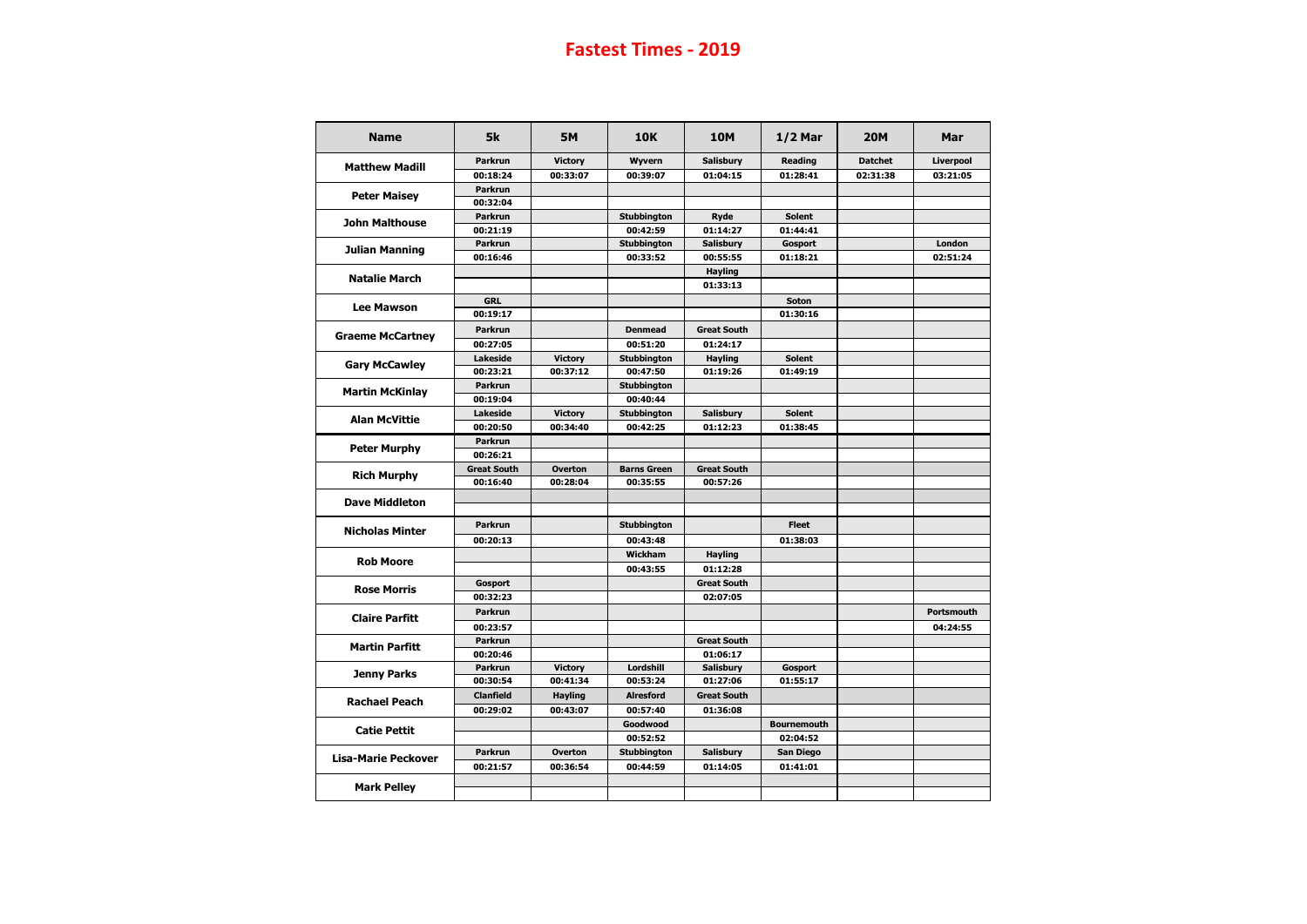| <b>Name</b>                | 5k                 | <b>5M</b>      | <b>10K</b>         | <b>10M</b>         | $1/2$ Mar                                                                                                                                                                   | <b>20M</b>     | <b>Mar</b>        |
|----------------------------|--------------------|----------------|--------------------|--------------------|-----------------------------------------------------------------------------------------------------------------------------------------------------------------------------|----------------|-------------------|
|                            | <b>Parkrun</b>     | <b>Victory</b> | <b>Wyvern</b>      | <b>Salisbury</b>   | <b>Reading</b>                                                                                                                                                              | <b>Datchet</b> | <b>Liverpool</b>  |
| <b>Matthew Madill</b>      | 00:18:24           | 00:33:07       | 00:39:07           | 01:04:15           | 01:28:41                                                                                                                                                                    | 02:31:38       | 03:21:05          |
|                            | <b>Parkrun</b>     |                |                    |                    |                                                                                                                                                                             |                |                   |
| <b>Peter Maisey</b>        | 00:32:04           |                |                    |                    |                                                                                                                                                                             |                |                   |
| <b>John Malthouse</b>      | <b>Parkrun</b>     |                | <b>Stubbington</b> | <b>Ryde</b>        | <b>Solent</b>                                                                                                                                                               |                |                   |
|                            | 00:21:19           |                | 00:42:59           | 01:14:27           | 01:44:41                                                                                                                                                                    |                |                   |
| <b>Julian Manning</b>      | <b>Parkrun</b>     |                | Stubbington        | <b>Salisbury</b>   | Gosport                                                                                                                                                                     |                | London            |
|                            | 00:16:46           |                | 00:33:52           | 00:55:55           | 01:18:21                                                                                                                                                                    |                | 02:51:24          |
| <b>Natalie March</b>       |                    |                |                    | <b>Hayling</b>     |                                                                                                                                                                             |                |                   |
|                            |                    |                |                    | 01:33:13           |                                                                                                                                                                             |                |                   |
| <b>Lee Mawson</b>          | <b>GRL</b>         |                |                    |                    | <b>Soton</b>                                                                                                                                                                |                |                   |
|                            | 00:19:17           |                |                    |                    | 01:30:16                                                                                                                                                                    |                |                   |
|                            | <b>Parkrun</b>     |                | <b>Denmead</b>     | <b>Great South</b> | <b>Solent</b><br>01:49:19<br><b>Solent</b><br>01:38:45<br><b>Fleet</b><br>01:38:03<br>Gosport<br>01:55:17<br><b>Bournemouth</b><br>02:04:52<br><b>San Diego</b><br>01:41:01 |                |                   |
| <b>Graeme McCartney</b>    | 00:27:05           |                | 00:51:20           | 01:24:17           |                                                                                                                                                                             |                |                   |
|                            | <b>Lakeside</b>    | <b>Victory</b> | <b>Stubbington</b> | <b>Hayling</b>     |                                                                                                                                                                             |                |                   |
| <b>Gary McCawley</b>       | 00:23:21           | 00:37:12       | 00:47:50           | 01:19:26           |                                                                                                                                                                             |                |                   |
|                            | <b>Parkrun</b>     |                | <b>Stubbington</b> |                    |                                                                                                                                                                             |                |                   |
| <b>Martin McKinlay</b>     | 00:19:04           |                | 00:40:44           |                    |                                                                                                                                                                             |                |                   |
| <b>Alan McVittie</b>       | <b>Lakeside</b>    | <b>Victory</b> | <b>Stubbington</b> | <b>Salisbury</b>   |                                                                                                                                                                             |                |                   |
|                            | 00:20:50           | 00:34:40       | 00:42:25           | 01:12:23           |                                                                                                                                                                             |                |                   |
|                            | <b>Parkrun</b>     |                |                    |                    |                                                                                                                                                                             |                |                   |
| <b>Peter Murphy</b>        | 00:26:21           |                |                    |                    |                                                                                                                                                                             |                |                   |
|                            | <b>Great South</b> | <b>Overton</b> | <b>Barns Green</b> | <b>Great South</b> |                                                                                                                                                                             |                |                   |
| <b>Rich Murphy</b>         | 00:16:40           | 00:28:04       | 00:35:55           | 00:57:26           |                                                                                                                                                                             |                |                   |
| <b>Dave Middleton</b>      |                    |                |                    |                    |                                                                                                                                                                             |                |                   |
|                            |                    |                |                    |                    |                                                                                                                                                                             |                |                   |
| <b>Nicholas Minter</b>     | <b>Parkrun</b>     |                | <b>Stubbington</b> |                    |                                                                                                                                                                             |                |                   |
|                            | 00:20:13           |                | 00:43:48           |                    |                                                                                                                                                                             |                |                   |
|                            |                    |                | Wickham            | <b>Hayling</b>     |                                                                                                                                                                             |                |                   |
| <b>Rob Moore</b>           |                    |                | 00:43:55           | 01:12:28           |                                                                                                                                                                             |                |                   |
|                            | <b>Gosport</b>     |                |                    | <b>Great South</b> |                                                                                                                                                                             |                |                   |
| <b>Rose Morris</b>         | 00:32:23           |                |                    | 02:07:05           |                                                                                                                                                                             |                |                   |
|                            | <b>Parkrun</b>     |                |                    |                    |                                                                                                                                                                             |                | <b>Portsmouth</b> |
| <b>Claire Parfitt</b>      | 00:23:57           |                |                    |                    |                                                                                                                                                                             |                | 04:24:55          |
|                            | <b>Parkrun</b>     |                |                    | <b>Great South</b> |                                                                                                                                                                             |                |                   |
| <b>Martin Parfitt</b>      | 00:20:46           |                |                    | 01:06:17           |                                                                                                                                                                             |                |                   |
|                            | <b>Parkrun</b>     | <b>Victory</b> | Lordshill          | <b>Salisbury</b>   |                                                                                                                                                                             |                |                   |
| <b>Jenny Parks</b>         | 00:30:54           | 00:41:34       | 00:53:24           | 01:27:06           |                                                                                                                                                                             |                |                   |
| <b>Rachael Peach</b>       | <b>Clanfield</b>   | <b>Hayling</b> | <b>Alresford</b>   | <b>Great South</b> |                                                                                                                                                                             |                |                   |
|                            | 00:29:02           | 00:43:07       | 00:57:40           | 01:36:08           |                                                                                                                                                                             |                |                   |
|                            |                    |                | Goodwood           |                    |                                                                                                                                                                             |                |                   |
| <b>Catie Pettit</b>        |                    |                | 00:52:52           |                    |                                                                                                                                                                             |                |                   |
|                            | <b>Parkrun</b>     | <b>Overton</b> | <b>Stubbington</b> | <b>Salisbury</b>   |                                                                                                                                                                             |                |                   |
| <b>Lisa-Marie Peckover</b> | 00:21:57           | 00:36:54       | 00:44:59           | 01:14:05           |                                                                                                                                                                             |                |                   |
|                            |                    |                |                    |                    |                                                                                                                                                                             |                |                   |
| <b>Mark Pelley</b>         |                    |                |                    |                    |                                                                                                                                                                             |                |                   |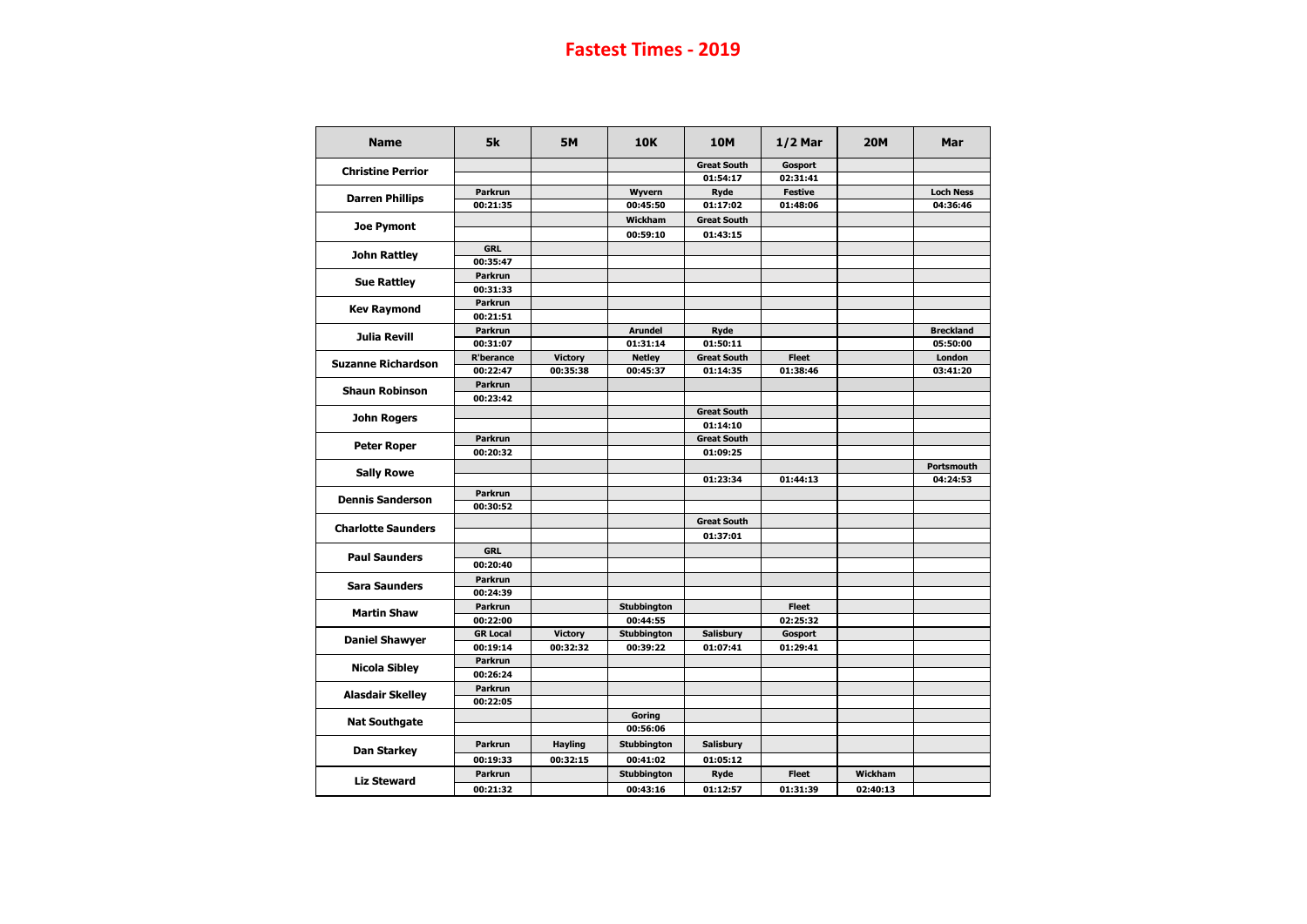| <b>Name</b>               | 5k                         | <b>5M</b>      | <b>10K</b>                     | <b>10M</b>              | $1/2$ Mar      | <b>20M</b> | <b>Mar</b>        |
|---------------------------|----------------------------|----------------|--------------------------------|-------------------------|----------------|------------|-------------------|
| <b>Christine Perrior</b>  |                            |                |                                | <b>Great South</b>      | <b>Gosport</b> |            |                   |
|                           |                            |                |                                | 01:54:17                | 02:31:41       |            |                   |
| <b>Darren Phillips</b>    | <b>Parkrun</b>             |                | <b>Wyvern</b>                  | <b>Ryde</b>             | <b>Festive</b> |            | <b>Loch Ness</b>  |
|                           | 00:21:35                   |                | 00:45:50                       | 01:17:02                | 01:48:06       |            | 04:36:46          |
|                           |                            |                | <b>Wickham</b>                 | <b>Great South</b>      |                |            |                   |
| <b>Joe Pymont</b>         |                            |                | 00:59:10                       | 01:43:15                |                |            |                   |
|                           | <b>GRL</b>                 |                |                                |                         |                |            |                   |
| <b>John Rattley</b>       | 00:35:47                   |                |                                |                         |                |            |                   |
|                           | <b>Parkrun</b>             |                |                                |                         |                |            |                   |
| <b>Sue Rattley</b>        | 00:31:33                   |                |                                |                         |                |            |                   |
|                           | <b>Parkrun</b>             |                |                                |                         |                |            |                   |
| <b>Kev Raymond</b>        | 00:21:51                   |                |                                |                         |                |            |                   |
|                           | <b>Parkrun</b>             |                | <b>Arundel</b>                 | <b>Ryde</b>             |                |            | <b>Breckland</b>  |
| <b>Julia Revill</b>       | 00:31:07                   |                | 01:31:14                       | 01:50:11                |                |            | 05:50:00          |
|                           | <b>R'berance</b>           | <b>Victory</b> | <b>Netley</b>                  | <b>Great South</b>      | <b>Fleet</b>   |            | London            |
| <b>Suzanne Richardson</b> | 00:22:47                   | 00:35:38       | 00:45:37                       | 01:14:35                | 01:38:46       |            | 03:41:20          |
|                           | <b>Parkrun</b>             |                |                                |                         |                |            |                   |
| <b>Shaun Robinson</b>     | 00:23:42                   |                |                                |                         |                |            |                   |
|                           |                            |                |                                | <b>Great South</b>      |                |            |                   |
| <b>John Rogers</b>        |                            |                |                                | 01:14:10                |                |            |                   |
|                           | <b>Parkrun</b>             |                |                                | <b>Great South</b>      |                |            |                   |
| <b>Peter Roper</b>        | 00:20:32                   |                |                                | 01:09:25                |                |            |                   |
|                           |                            |                |                                |                         |                |            | <b>Portsmouth</b> |
| <b>Sally Rowe</b>         |                            |                |                                | 01:23:34                | 01:44:13       |            | 04:24:53          |
|                           | <b>Parkrun</b>             |                |                                |                         |                |            |                   |
| <b>Dennis Sanderson</b>   |                            |                |                                |                         |                |            |                   |
|                           | 00:30:52                   |                |                                |                         |                |            |                   |
| <b>Charlotte Saunders</b> |                            |                |                                | <b>Great South</b>      |                |            |                   |
|                           |                            |                |                                | 01:37:01                |                |            |                   |
| <b>Paul Saunders</b>      | <b>GRL</b>                 |                |                                |                         |                |            |                   |
|                           | 00:20:40                   |                |                                |                         |                |            |                   |
|                           | <b>Parkrun</b>             |                |                                |                         |                |            |                   |
| <b>Sara Saunders</b>      | 00:24:39                   |                |                                |                         |                |            |                   |
|                           | <b>Parkrun</b>             |                | <b>Stubbington</b>             |                         | <b>Fleet</b>   |            |                   |
| <b>Martin Shaw</b>        | 00:22:00                   |                | 00:44:55                       |                         | 02:25:32       |            |                   |
|                           | <b>GR Local</b>            | <b>Victory</b> | <b>Stubbington</b>             | <b>Salisbury</b>        | Gosport        |            |                   |
| <b>Daniel Shawyer</b>     | 00:19:14                   | 00:32:32       | 00:39:22                       | 01:07:41                | 01:29:41       |            |                   |
|                           | <b>Parkrun</b>             |                |                                |                         |                |            |                   |
| <b>Nicola Sibley</b>      | 00:26:24                   |                |                                |                         |                |            |                   |
|                           |                            |                |                                |                         |                |            |                   |
|                           |                            |                |                                |                         |                |            |                   |
| <b>Alasdair Skelley</b>   | <b>Parkrun</b>             |                |                                |                         |                |            |                   |
|                           | 00:22:05                   |                |                                |                         |                |            |                   |
| <b>Nat Southgate</b>      |                            |                | <b>Goring</b>                  |                         |                |            |                   |
|                           | <b>Parkrun</b>             | <b>Hayling</b> | 00:56:06<br><b>Stubbington</b> | <b>Salisbury</b>        |                |            |                   |
| <b>Dan Starkey</b>        |                            |                |                                |                         |                |            |                   |
| <b>Liz Steward</b>        | 00:19:33<br><b>Parkrun</b> | 00:32:15       | 00:41:02<br><b>Stubbington</b> | 01:05:12<br><b>Ryde</b> | <b>Fleet</b>   | Wickham    |                   |